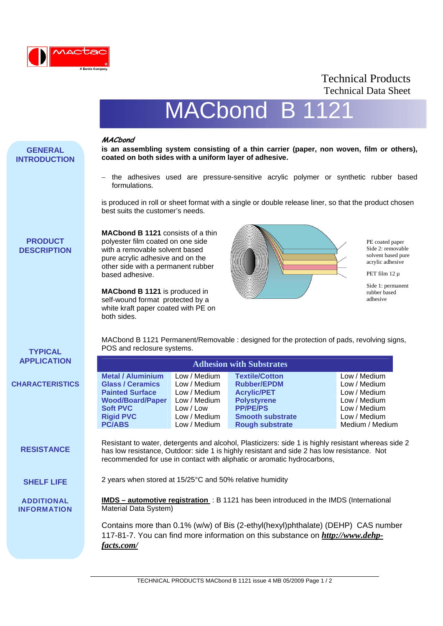

## Technical Products Technical Data Sheet

PE coated paper Side 2: removable solvent based pure acrylic adhesive PET film 12 µ Side 1: permanent rubber based adhesive

# MACbond B

#### **MACbond**

based adhesive.

both sides.

**is an assembling system consisting of a thin carrier (paper, non woven, film or others), coated on both sides with a uniform layer of adhesive.** 

− the adhesives used are pressure-sensitive acrylic polymer or synthetic rubber based formulations.

is produced in roll or sheet format with a single or double release liner, so that the product chosen best suits the customer's needs.

### **PRODUCT DESCRIPTION**

**GENERAL INTRODUCTION**

**TYPICAL**

**ADDITIONAL INFORMATION** MACbond B 1121 Permanent/Removable : designed for the protection of pads, revolving signs, POS and reclosure systems.

| <b>APPLICATION</b>     |                          | <b>Adhesion with Substrates</b>                                                                                                                                                                                                                                              |                         |                 |  |  |  |
|------------------------|--------------------------|------------------------------------------------------------------------------------------------------------------------------------------------------------------------------------------------------------------------------------------------------------------------------|-------------------------|-----------------|--|--|--|
|                        | <b>Metal / Aluminium</b> | Low / Medium                                                                                                                                                                                                                                                                 | <b>Textile/Cotton</b>   | Low / Medium    |  |  |  |
| <b>CHARACTERISTICS</b> | <b>Glass / Ceramics</b>  | Low / Medium                                                                                                                                                                                                                                                                 | <b>Rubber/EPDM</b>      | Low / Medium    |  |  |  |
|                        | <b>Painted Surface</b>   | Low / Medium                                                                                                                                                                                                                                                                 | <b>Acrylic/PET</b>      | Low / Medium    |  |  |  |
|                        | <b>Wood/Board/Paper</b>  | Low / Medium                                                                                                                                                                                                                                                                 | <b>Polystyrene</b>      | Low / Medium    |  |  |  |
|                        | <b>Soft PVC</b>          | Low/Low                                                                                                                                                                                                                                                                      | <b>PP/PE/PS</b>         | Low / Medium    |  |  |  |
|                        | <b>Rigid PVC</b>         | Low / Medium                                                                                                                                                                                                                                                                 | <b>Smooth substrate</b> | Low / Medium    |  |  |  |
|                        | <b>PC/ABS</b>            | Low / Medium                                                                                                                                                                                                                                                                 | <b>Rough substrate</b>  | Medium / Medium |  |  |  |
|                        |                          |                                                                                                                                                                                                                                                                              |                         |                 |  |  |  |
| <b>RESISTANCE</b>      |                          | Resistant to water, detergents and alcohol, Plasticizers: side 1 is highly resistant whereas side 2<br>has low resistance, Outdoor: side 1 is highly resistant and side 2 has low resistance. Not<br>recommended for use in contact with aliphatic or aromatic hydrocarbons, |                         |                 |  |  |  |

2 years when stored at 15/25°C and 50% relative humidity **SHELF LIFE**

**MACbond B 1121** consists of a thin polyester film coated on one side with a removable solvent based pure acrylic adhesive and on the other side with a permanent rubber

**MACbond B 1121** is produced in self-wound format protected by a white kraft paper coated with PE on

**IMDS – automotive registration** : B 1121 has been introduced in the IMDS (International Material Data System)

Contains more than 0.1% (w/w) of Bis (2-ethyl(hexyl)phthalate) (DEHP) CAS number 117-81-7. You can find more information on this substance on *http://www.dehpfacts.com/*